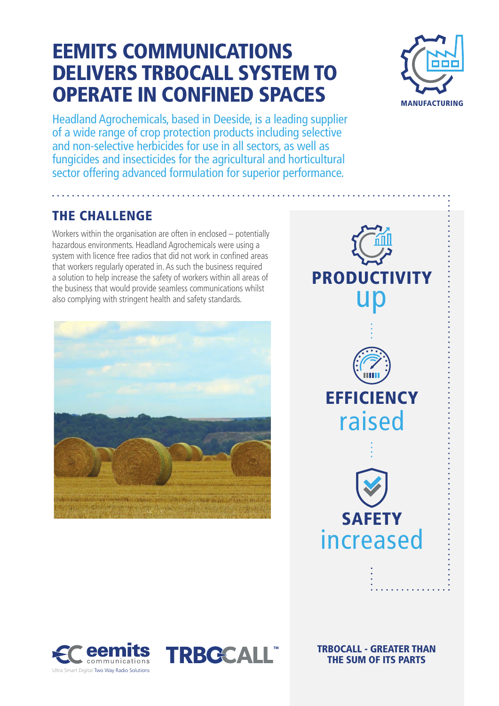### EEMITS COMMUNICATIONS DELIVERS TRBOCALL SYSTEM TO OPERATE IN CONFINED SPACES



Headland Agrochemicals, based in Deeside, is a leading supplier of a wide range of crop protection products including selective and non-selective herbicides for use in all sectors, as well as fungicides and insecticides for the agricultural and horticultural sector offering advanced formulation for superior performance.

### THE CHALLENGE

Workers within the organisation are often in enclosed – potentially hazardous environments. Headland Agrochemicals were using a system with licence free radios that did not work in confined areas that workers regularly operated in. As such the business required a solution to help increase the safety of workers within all areas of the business that would provide seamless communications whilst also complying with stringent health and safety standards.









TRBOCALL - GREATER THAN THE SUM OF ITS PARTS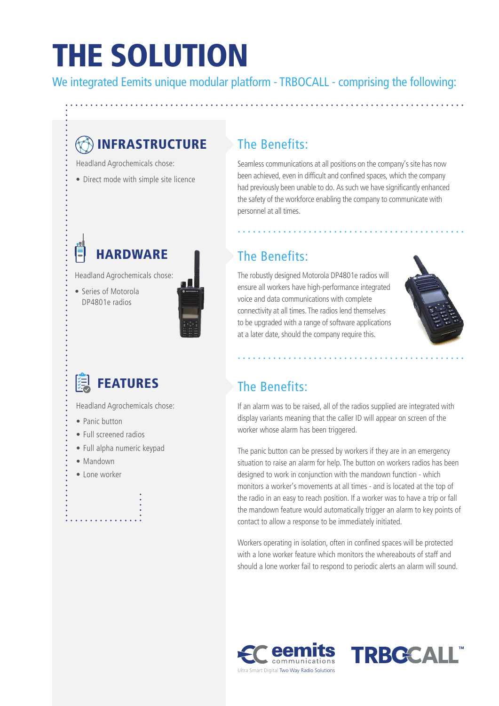## THE SOLUTION

We integrated Eemits unique modular platform - TRBOCALL - comprising the following:

### **B**INFRASTRUCTURE

Headland Agrochemicals chose:

• Direct mode with simple site licence

### **HARDWARF**

Headland Agrochemicals chose:

• Series of Motorola DP4801e radios



Headland Agrochemicals chose:

- Panic button
- Full screened radios
- Full alpha numeric keypad
- Mandown
- Lone worker

#### The Benefits:

Seamless communications at all positions on the company's site has now been achieved, even in difficult and confined spaces, which the company had previously been unable to do. As such we have significantly enhanced the safety of the workforce enabling the company to communicate with personnel at all times.

### The Benefits:

The robustly designed Motorola DP4801e radios will ensure all workers have high-performance integrated voice and data communications with complete connectivity at all times. The radios lend themselves to be upgraded with a range of software applications at a later date, should the company require this.

 $\mathbf{1} \times \mathbf{1} \times \mathbf{1} \times \mathbf{1}$ 



### The Benefits:

If an alarm was to be raised, all of the radios supplied are integrated with display variants meaning that the caller ID will appear on screen of the worker whose alarm has been triggered.

The panic button can be pressed by workers if they are in an emergency situation to raise an alarm for help. The button on workers radios has been designed to work in conjunction with the mandown function - which monitors a worker's movements at all times - and is located at the top of the radio in an easy to reach position. If a worker was to have a trip or fall the mandown feature would automatically trigger an alarm to key points of contact to allow a response to be immediately initiated.

Workers operating in isolation, often in confined spaces will be protected with a lone worker feature which monitors the whereabouts of staff and should a lone worker fail to respond to periodic alerts an alarm will sound.



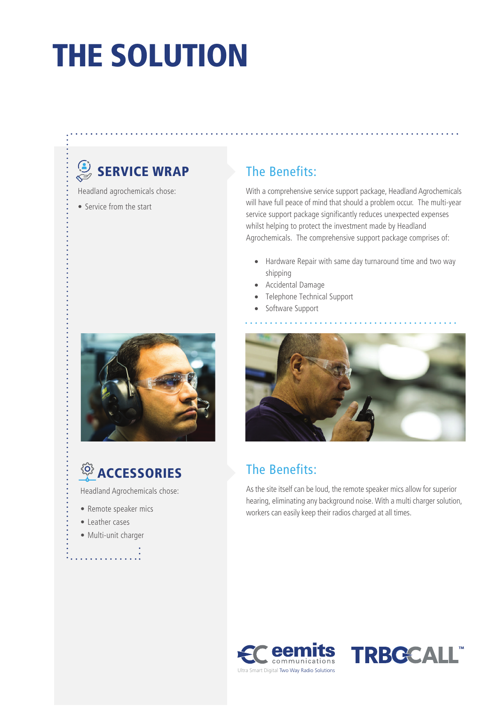# THE SOLUTION

### SERVICE WRAP

- Headland agrochemicals chose:
- Service from the start





Headland Agrochemicals chose:

- Remote speaker mics
- Leather cases
- Multi-unit charger

. . . . . . . . . . . .

### The Benefits:

With a comprehensive service support package, Headland Agrochemicals will have full peace of mind that should a problem occur. The multi-year service support package significantly reduces unexpected expenses whilst helping to protect the investment made by Headland Agrochemicals. The comprehensive support package comprises of:

- Hardware Repair with same day turnaround time and two way shipping
- Accidental Damage
- Telephone Technical Support
- Software Support



### The Benefits:

As the site itself can be loud, the remote speaker mics allow for superior hearing, eliminating any background noise. With a multi charger solution, workers can easily keep their radios charged at all times.